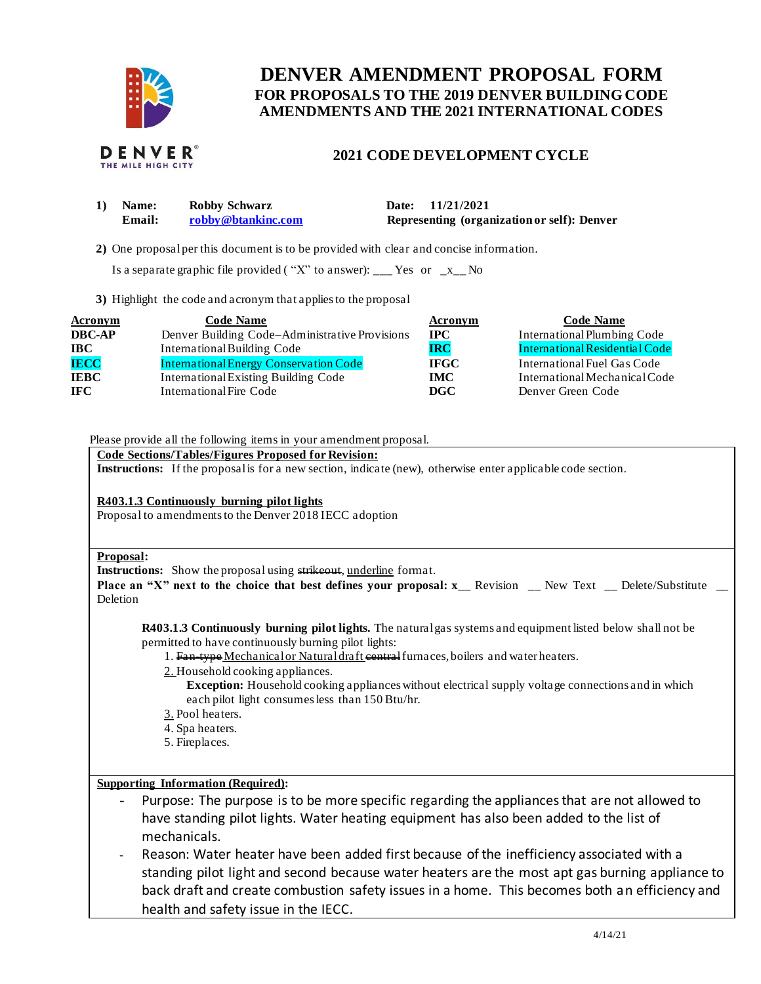

## **FOR PROPOSALS TO THE 2019 DENVER BUILDING CODE DENVER AMENDMENT PROPOSAL FORM AMENDMENTS AND THE 2021 INTERNATIONAL CODES**



## **2021 CODE DEVELOPMENT CYCLE**

| <b>Name:</b> | Robby Schwarz      | Date: 11/21/2021                            |
|--------------|--------------------|---------------------------------------------|
| Email:       | robby@btankinc.com | Representing (organization or self): Denver |

**2)** One proposalper this document is to be provided with clear and concise information.

Is a separate graphic file provided ("X" to answer): \_\_\_ Yes or  $-x$  No

**3)** Highlight the code and acronym that applies to the proposal

| <b>Acronym</b> | <b>Code Name</b>                               | Acronym     | <b>Code Name</b>               |
|----------------|------------------------------------------------|-------------|--------------------------------|
| <b>DBC-AP</b>  | Denver Building Code-Administrative Provisions | $\bf IPC$   | International Plumbing Code    |
| <b>IBC</b>     | International Building Code                    | IRC         | International Residential Code |
| <b>IECC</b>    | <b>International Energy Conservation Code</b>  | <b>IFGC</b> | International Fuel Gas Code    |
| <b>IEBC</b>    | International Existing Building Code           | <b>IMC</b>  | International Mechanical Code  |
| <b>IFC</b>     | International Fire Code                        | DGC -       | Denver Green Code              |

Please provide all the following items in your amendment proposal.

 **Code Sections/Tables/Figures Proposed for Revision:** 

**Instructions:** If the proposalis for a new section, indicate (new), otherwise enter applicable code section.

**R403.1.3 Continuously burning pilot lights** 

Proposal to amendments to the Denver 2018 IECC adoption

## **Proposal:**

**Instructions:** Show the proposal using strikeout, underline format.

**Place an "X" next to the choice that best defines your proposal: x<sub>\_</sub>\_ Revision \_\_ New Text \_\_ Delete/Substitute \_\_** Deletion

 **R403.1.3 Continuously burning pilot lights.** The naturalgas systems and equipment listed below shall not be permitted to have continuously burning pilot lights:

- 1. Fan-type Mechanical or Natural draft central furnaces, boilers and water heaters.
- 2. Household cooking appliances.
	- **Exception:** Household cooking appliances without electrical supply voltage connections and in which each pilot light consumes less than 150 Btu/hr.
- 3. Pool heaters.
- 4. Spa heaters.
- 5. Fireplaces.

## **Supporting Information (Required):**

- - Purpose: The purpose is to be more specific regarding the appliances that are not allowed to have standing pilot lights. Water heating equipment has also been added to the list of mechanicals.
- - Reason: Water heater have been added first because of the inefficiency associated with a standing pilot light and second because water heaters are the most apt gas burning appliance to back draft and create combustion safety issues in a home. This becomes both an efficiency and health and safety issue in the IECC.